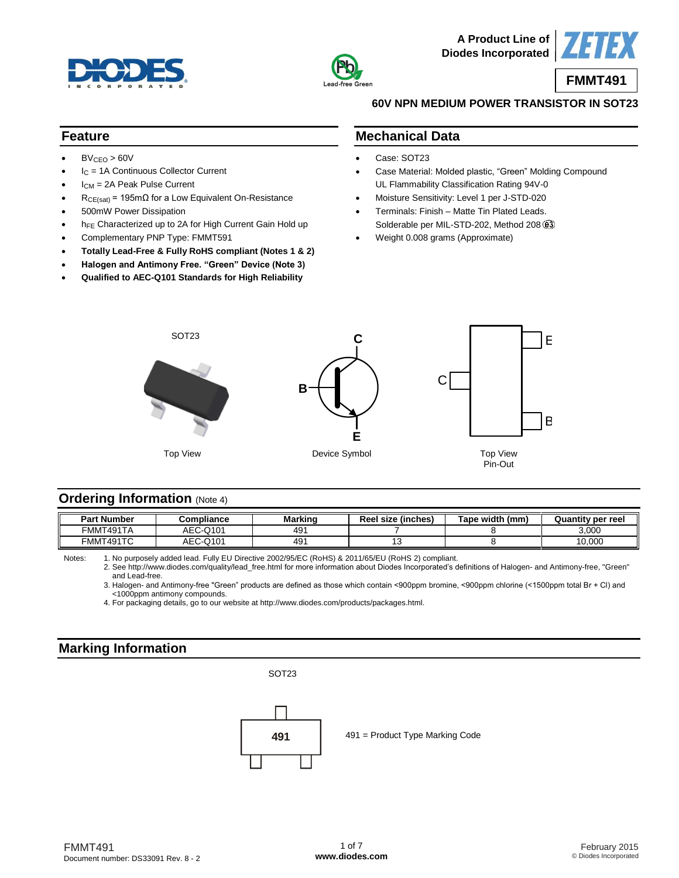



**A Product Line of Diodes Incorporated**



### **60V NPN MEDIUM POWER TRANSISTOR IN SOT23**

## **Feature**

- $BV_{CEO} > 60V$
- I<sub>C</sub> = 1A Continuous Collector Current
- ICM = 2A Peak Pulse Current
- $R_{CE(sat)}$  = 195m $\Omega$  for a Low Equivalent On-Resistance
- 500mW Power Dissipation
- hFE Characterized up to 2A for High Current Gain Hold up
- Complementary PNP Type: FMMT591
- **Totally Lead-Free & Fully RoHS compliant (Notes 1 & 2)**
- **Halogen and Antimony Free. "Green" Device (Note 3)**
- **Qualified to AEC-Q101 Standards for High Reliability**

### **Mechanical Data**

- Case: SOT23
- Case Material: Molded plastic, "Green" Molding Compound UL Flammability Classification Rating 94V-0
- Moisture Sensitivity: Level 1 per J-STD-020
- Terminals: Finish Matte Tin Plated Leads. Solderable per MIL-STD-202, Method 208  $(3)$
- Weight 0.008 grams (Approximate)



## **Ordering Information** (Note 4)

| <b>Part Number</b> | Compliance | Marking | Reel size (inches) | Tape width<br>(mm) | <b>Quantity per reel</b> |
|--------------------|------------|---------|--------------------|--------------------|--------------------------|
| ™MT491TA           | AEC-Q101   | 491     |                    |                    | 3,000                    |
| FMMT491TC          | AEC-Q101   | 491     |                    |                    | 10,000                   |

Notes: 1. No purposely added lead. Fully EU Directive 2002/95/EC (RoHS) & 2011/65/EU (RoHS 2) compliant.

2. See [http://www.diodes.com/quality/lead\\_free.html](http://www.diodes.com/quality/lead_free.html) for more information about Diodes Incorporated's definitions of Halogen- and Antimony-free, "Green" and Lead-free.

3. Halogen- and Antimony-free "Green" products are defined as those which contain <900ppm bromine, <900ppm chlorine (<1500ppm total Br + Cl) and <1000ppm antimony compounds.

4. For packaging details, go to our website at [http://www.diodes.com/products/packages.html.](http://www.diodes.com/products/packages.html)

# **Marking Information**

## SOT23

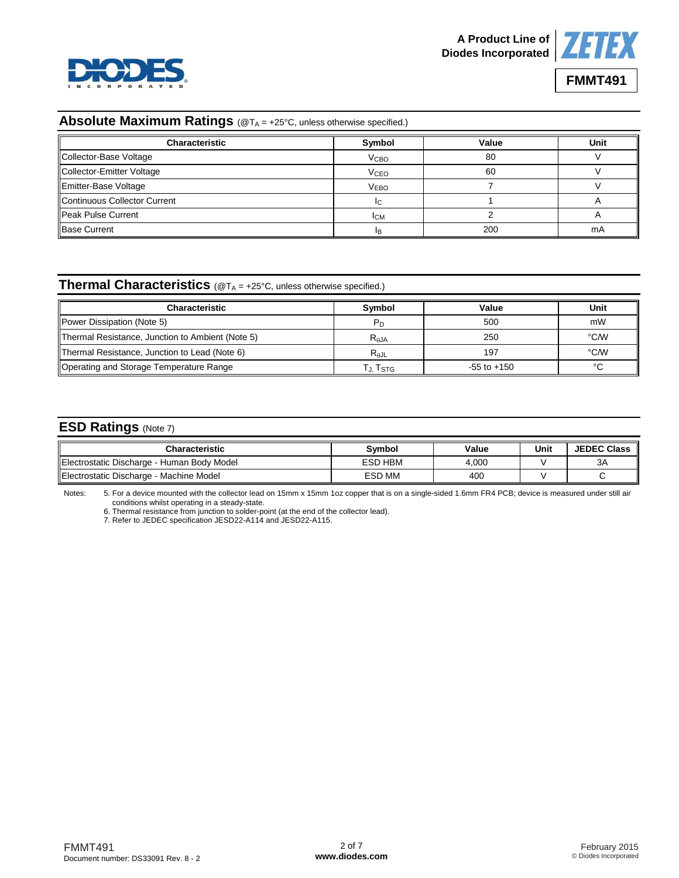



# **FMMT491**

## **Absolute Maximum Ratings** (@T<sub>A</sub> = +25°C, unless otherwise specified.)

| <b>Characteristic</b>        | Symbol                 | Value | Unit |
|------------------------------|------------------------|-------|------|
| Collector-Base Voltage       | <b>V<sub>CВО</sub></b> | 80    |      |
| Collector-Emitter Voltage    | <b>V<sub>CEO</sub></b> | 60    |      |
| Emitter-Base Voltage         | <b>VEBO</b>            |       |      |
| Continuous Collector Current |                        |       |      |
| <b>Peak Pulse Current</b>    | <b>ICM</b>             |       |      |
| <b>Base Current</b>          |                        | 200   | mA   |

#### **Thermal Characteristics** (@T<sub>A</sub> = +25°C, unless otherwise specified.)

| <b>Characteristic</b>                            | Symbol         | Value           | Unit |
|--------------------------------------------------|----------------|-----------------|------|
| Power Dissipation (Note 5)                       | P <sub>D</sub> | 500             | mW   |
| Thermal Resistance, Junction to Ambient (Note 5) | $R_{\theta$ JA | 250             | °C⁄W |
| Thermal Resistance, Junction to Lead (Note 6)    | $R_{AJL}$      | 197             | °C/W |
| Operating and Storage Temperature Range          | Tj. Tstg       | $-55$ to $+150$ | ∘∩   |

# **ESD Ratings** (Note 7)

| Characteristic                              | Svmbol         | Value | Unit | <b>JEDEC Class</b> |
|---------------------------------------------|----------------|-------|------|--------------------|
| IElectrostatic Discharge - Human Body Model | <b>ESD HBM</b> | 4.000 |      | ЗΑ                 |
| Electrostatic Discharge - Machine Model     | <b>ESD MM</b>  | 400   |      |                    |

Notes: 5. For a device mounted with the collector lead on 15mm x 15mm 1oz copper that is on a single-sided 1.6mm FR4 PCB; device is measured under still air conditions whilst operating in a steady-state.

6. Thermal resistance from junction to solder-point (at the end of the collector lead).

7. Refer to JEDEC specification JESD22-A114 and JESD22-A115.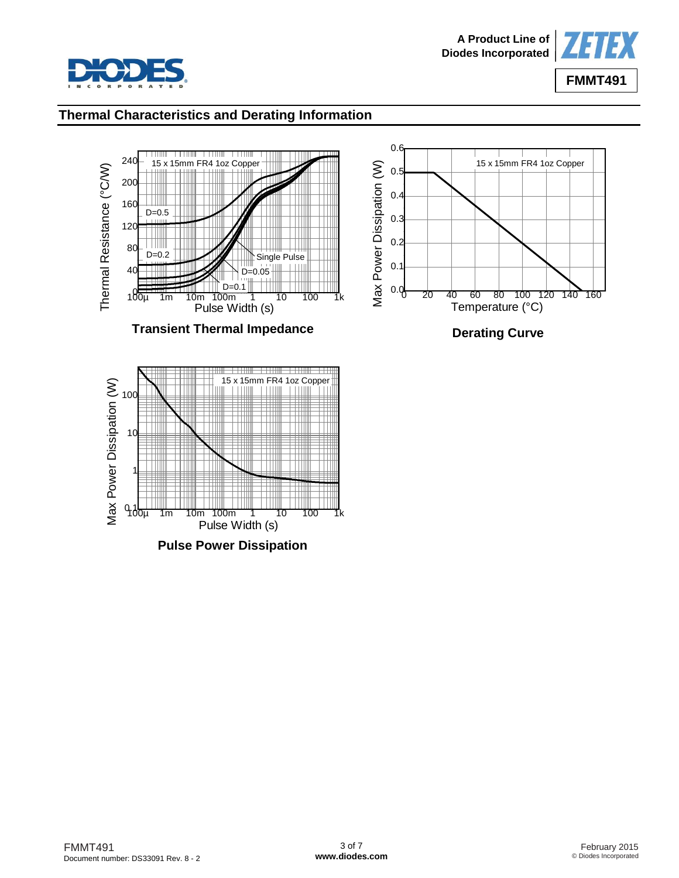



## **Thermal Characteristics and Derating Information**







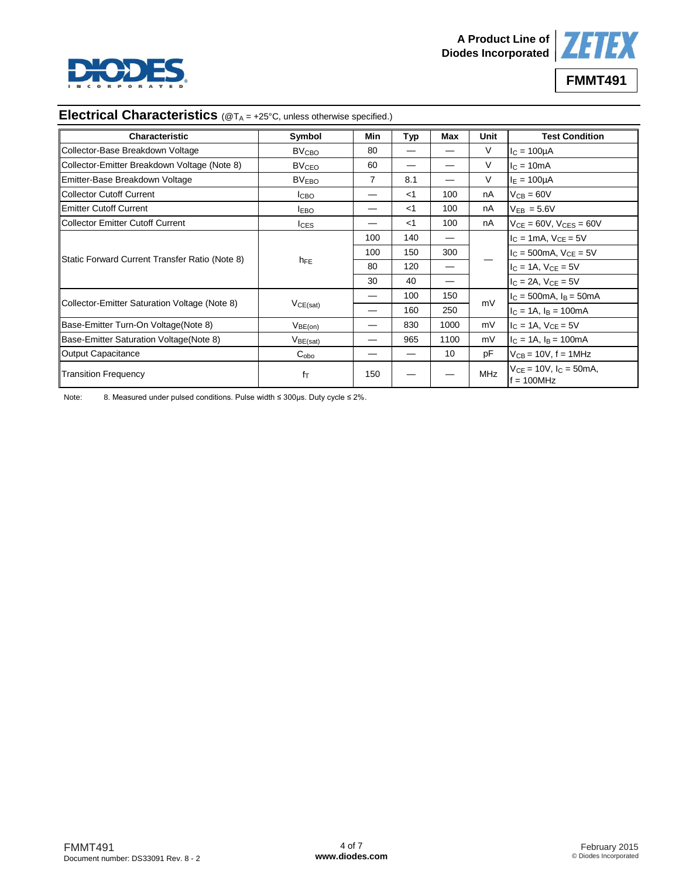



**FMMT491**

## **Electrical Characteristics** (@T<sub>A</sub> = +25°C, unless otherwise specified.)

| <b>Characteristic</b>                          | Symbol                  | Min | <b>Typ</b> | Max  | Unit       | <b>Test Condition</b>                            |
|------------------------------------------------|-------------------------|-----|------------|------|------------|--------------------------------------------------|
| Collector-Base Breakdown Voltage               | <b>BV<sub>CBO</sub></b> | 80  |            |      | V          | $IC = 100µA$                                     |
| Collector-Emitter Breakdown Voltage (Note 8)   | <b>BV<sub>CEO</sub></b> | 60  |            |      | V          | $IC = 10mA$                                      |
| Emitter-Base Breakdown Voltage                 | <b>BVEBO</b>            | 7   | 8.1        |      | V          | $I_E = 100 \mu A$                                |
| Collector Cutoff Current                       | Iсво                    |     | $<$ 1      | 100  | nA         | $V_{CB} = 60V$                                   |
| <b>Emitter Cutoff Current</b>                  | <b>I</b> EBO            |     | $<$ 1      | 100  | nA         | $V_{FB} = 5.6V$                                  |
| Collector Emitter Cutoff Current               | $I_{CES}$               |     | $<$ 1      | 100  | nA         | $V_{CE} = 60V$ , $V_{CES} = 60V$                 |
|                                                |                         | 100 | 140        | —    |            | $I_C = 1mA$ , $V_{CE} = 5V$                      |
|                                                | h <sub>FE</sub>         | 100 | 150        | 300  |            | $I_C = 500mA, V_{CE} = 5V$                       |
| Static Forward Current Transfer Ratio (Note 8) |                         | 80  | 120        | —    |            | $I_C = 1A$ , $V_{CE} = 5V$                       |
|                                                |                         | 30  | 40         |      |            | $I_C = 2A$ , $V_{CE} = 5V$                       |
|                                                |                         |     | 100        | 150  |            | $I_C = 500 \text{mA}, I_B = 50 \text{mA}$        |
| Collector-Emitter Saturation Voltage (Note 8)  | VCE(sat)                |     | 160        | 250  | mV         | $I_C = 1A$ , $I_B = 100mA$                       |
| Base-Emitter Turn-On Voltage(Note 8)           | $V_{BE(on)}$            |     | 830        | 1000 | mV         | $I_C = 1A$ , $V_{CE} = 5V$                       |
| Base-Emitter Saturation Voltage (Note 8)       | $V_{BE(sat)}$           |     | 965        | 1100 | mV         | $I_C = 1A$ , $I_B = 100mA$                       |
| Output Capacitance                             | $C_{\rm obo}$           |     | —          | 10   | pF         | $V_{CB}$ = 10V, f = 1MHz                         |
| <b>Transition Frequency</b>                    | $f_T$                   | 150 |            |      | <b>MHz</b> | $V_{CE} = 10V$ , $I_C = 50mA$ ,<br>$f = 100$ MHz |

Note: 8. Measured under pulsed conditions. Pulse width ≤ 300µs. Duty cycle ≤ 2%.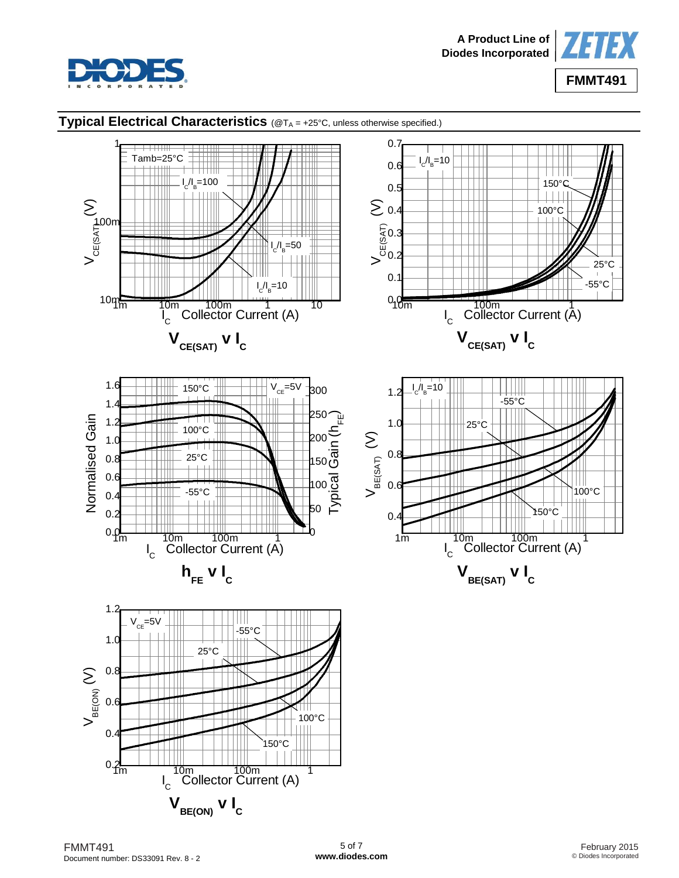



## **Typical Electrical Characteristics** (@T<sub>A</sub> = +25°C, unless otherwise specified.)

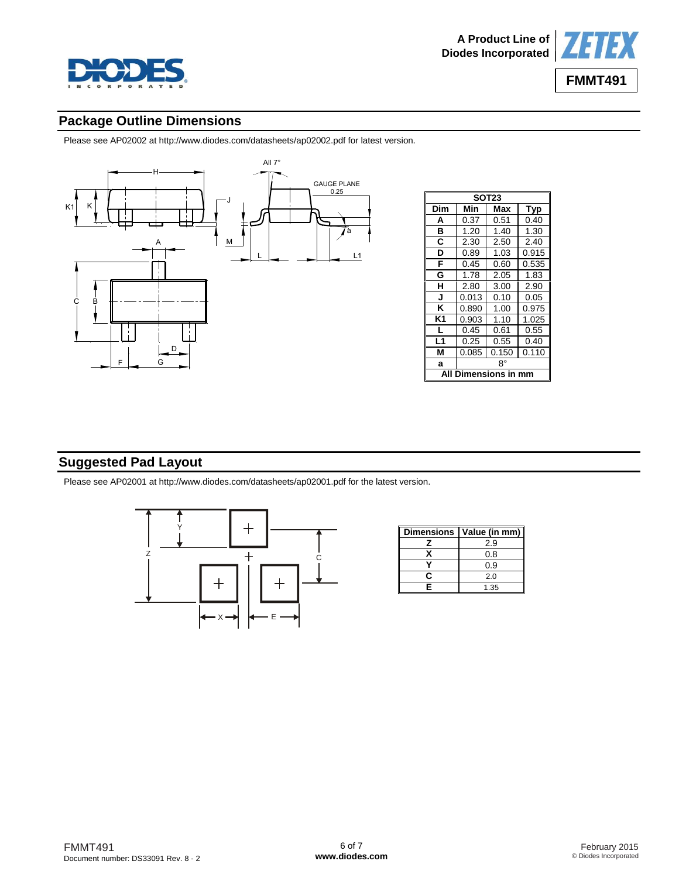



# **Package Outline Dimensions**

Please see AP02002 at [http://www.diodes.com/datasheets/ap02002.pdf fo](http://www.diodes.com/datasheets/ap02002.pdf)r latest version.



| SOT23                |       |       |       |  |  |
|----------------------|-------|-------|-------|--|--|
| Dim                  | Min   | Max   | Typ   |  |  |
| А                    | 0.37  | 0.51  | 0.40  |  |  |
| в                    | 1.20  | 1.40  | 1.30  |  |  |
| С                    | 2.30  | 2.50  | 2.40  |  |  |
| D                    | 0.89  | 1.03  | 0.915 |  |  |
| F                    | 0.45  | 0.60  | 0.535 |  |  |
| G                    | 1.78  | 2.05  | 1.83  |  |  |
| н                    | 2.80  | 3.00  | 2.90  |  |  |
| J                    | 0.013 | 0.10  | 0.05  |  |  |
| κ                    | 0.890 | 1.00  | 0.975 |  |  |
| K1                   | 0.903 | 1.10  | 1.025 |  |  |
| L                    | 0.45  | 0.61  | 0.55  |  |  |
| L1                   | 0.25  | 0.55  | 0.40  |  |  |
| М                    | 0.085 | 0.150 | 0.110 |  |  |
| a                    | 8°    |       |       |  |  |
| <b>Dimensions in</b> |       |       |       |  |  |

# **Suggested Pad Layout**

Please see AP02001 at [http://www.diodes.com/datasheets/ap02001.pdf fo](http://www.diodes.com/datasheets/ap02001.pdf)r the latest version.



| <b>Dimensions</b> | Value (in mm) |
|-------------------|---------------|
|                   | 2.9           |
|                   | 0.8           |
|                   | 0.9           |
| r                 | 2.0           |
| F                 | 1.35          |